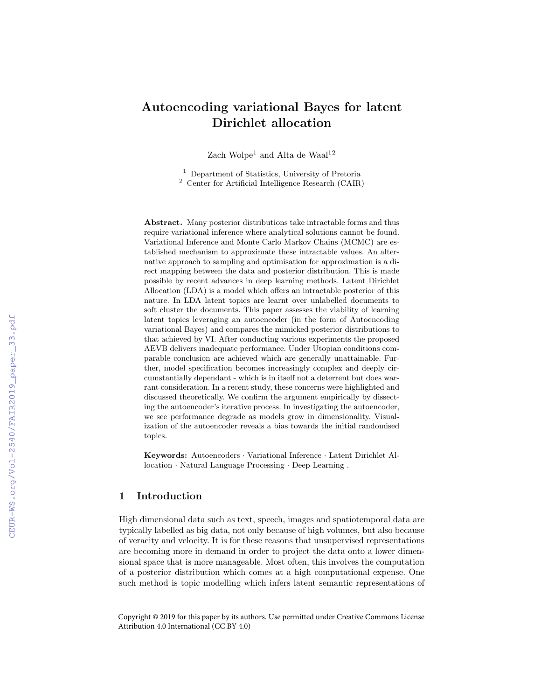# Autoencoding variational Bayes for latent Dirichlet allocation

Zach Wolpe<sup>1</sup> and Alta de Waal<sup>12</sup>

<sup>1</sup> Department of Statistics, University of Pretoria <sup>2</sup> Center for Artificial Intelligence Research (CAIR)

Abstract. Many posterior distributions take intractable forms and thus require variational inference where analytical solutions cannot be found. Variational Inference and Monte Carlo Markov Chains (MCMC) are established mechanism to approximate these intractable values. An alternative approach to sampling and optimisation for approximation is a direct mapping between the data and posterior distribution. This is made possible by recent advances in deep learning methods. Latent Dirichlet Allocation (LDA) is a model which offers an intractable posterior of this nature. In LDA latent topics are learnt over unlabelled documents to soft cluster the documents. This paper assesses the viability of learning latent topics leveraging an autoencoder (in the form of Autoencoding variational Bayes) and compares the mimicked posterior distributions to that achieved by VI. After conducting various experiments the proposed AEVB delivers inadequate performance. Under Utopian conditions comparable conclusion are achieved which are generally unattainable. Further, model specification becomes increasingly complex and deeply circumstantially dependant - which is in itself not a deterrent but does warrant consideration. In a recent study, these concerns were highlighted and discussed theoretically. We confirm the argument empirically by dissecting the autoencoder's iterative process. In investigating the autoencoder, we see performance degrade as models grow in dimensionality. Visualization of the autoencoder reveals a bias towards the initial randomised topics.

Keywords: Autoencoders · Variational Inference · Latent Dirichlet Allocation · Natural Language Processing · Deep Learning .

### 1 Introduction

High dimensional data such as text, speech, images and spatiotemporal data are typically labelled as big data, not only because of high volumes, but also because of veracity and velocity. It is for these reasons that unsupervised representations are becoming more in demand in order to project the data onto a lower dimensional space that is more manageable. Most often, this involves the computation of a posterior distribution which comes at a high computational expense. One such method is topic modelling which infers latent semantic representations of

Copyright © 2019 for this paper by its authors. Use permitted under Creative Commons License Attribution 4.0 International (CC BY 4.0)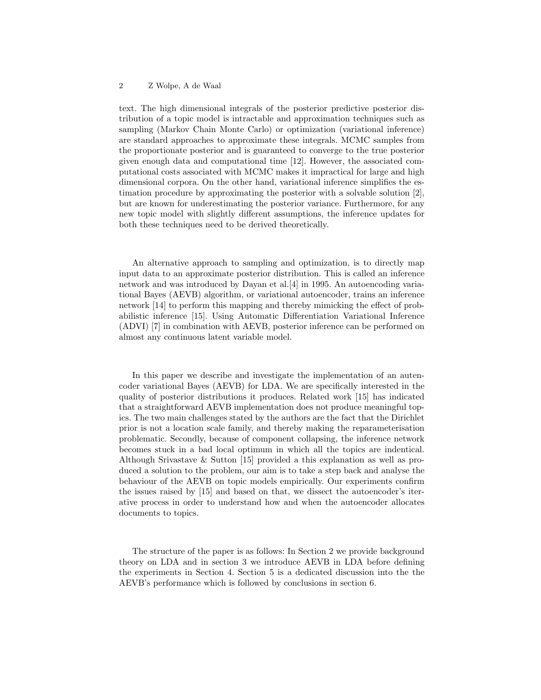text. The high dimensional integrals of the posterior predictive posterior distribution of a topic model is intractable and approximation techniques such as sampling (Markov Chain Monte Carlo) or optimization (variational inference) are standard approaches to approximate these integrals. MCMC samples from the proportionate posterior and is guaranteed to converge to the true posterior given enough data and computational time [12]. However, the associated computational costs associated with MCMC makes it impractical for large and high dimensional corpora. On the other hand, variational inference simplifies the estimation procedure by approximating the posterior with a solvable solution [2], but are known for underestimating the posterior variance. Furthermore, for any new topic model with slightly different assumptions, the inference updates for both these techniques need to be derived theoretically.

An alternative approach to sampling and optimization, is to directly map input data to an approximate posterior distribution. This is called an inference network and was introduced by Dayan et al. [4] in 1995. An autoencoding variational Bayes (AEVB) algorithm, or variational autoencoder, trains an inference network [14] to perform this mapping and thereby mimicking the effect of probabilistic inference [15]. Using Automatic Differentiation Variational Inference (ADVI) [7] in combination with AEVB, posterior inference can be performed on almost any continuous latent variable model.

In this paper we describe and investigate the implementation of an autencoder variational Bayes (AEVB) for LDA. We are specifically interested in the quality of posterior distributions it produces. Related work [15] has indicated that a straightforward AEVB implementation does not produce meaningful topics. The two main challenges stated by the authors are the fact that the Dirichlet prior is not a location scale family, and thereby making the reparameterisation problematic. Secondly, because of component collapsing, the inference network becomes stuck in a bad local optimum in which all the topics are indentical. Although Srivastave & Sutton [15] provided a this explanation as well as produced a solution to the problem, our aim is to take a step back and analyse the behaviour of the AEVB on topic models empirically. Our experiments confirm the issues raised by [15] and based on that, we dissect the autoencoder's iterative process in order to understand how and when the autoencoder allocates documents to topics.

The structure of the paper is as follows: In Section 2 we provide background theory on LDA and in section 3 we introduce AEVB in LDA before defining the experiments in Section 4. Section 5 is a dedicated discussion into the the AEVB's performance which is followed by conclusions in section 6.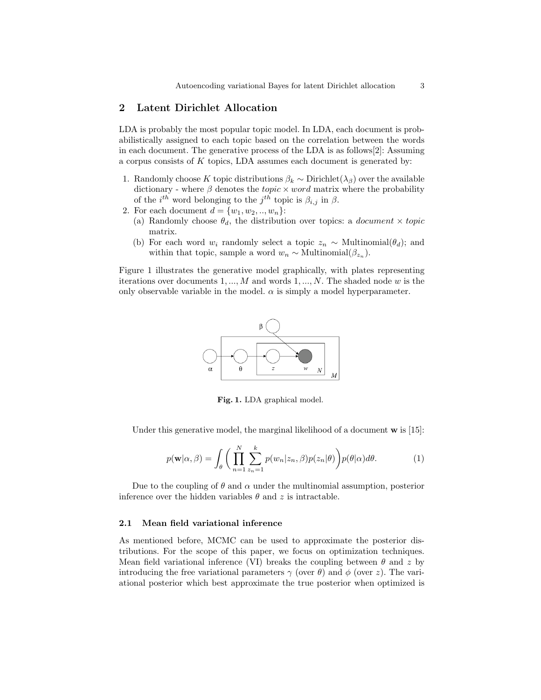### 2 Latent Dirichlet Allocation

LDA is probably the most popular topic model. In LDA, each document is probabilistically assigned to each topic based on the correlation between the words in each document. The generative process of the LDA is as follows[2]: Assuming a corpus consists of K topics, LDA assumes each document is generated by:

- 1. Randomly choose K topic distributions  $\beta_k \sim \text{Dirichlet}(\lambda_\beta)$  over the available dictionary - where  $\beta$  denotes the *topic*  $\times$  *word* matrix where the probability of the  $i^{th}$  word belonging to the  $j^{th}$  topic is  $\beta_{i,j}$  in  $\beta$ .
- 2. For each document  $d = \{w_1, w_2, ..., w_n\}$ :
	- (a) Randomly choose  $\theta_d$ , the distribution over topics: a *document*  $\times$  topic matrix.
	- (b) For each word  $w_i$  randomly select a topic  $z_n \sim \text{Multinomial}(\theta_d)$ ; and within that topic, sample a word  $w_n \sim \text{Multinomial}(\beta_{z_n}).$

Figure 1 illustrates the generative model graphically, with plates representing iterations over documents  $1, ..., M$  and words  $1, ..., N$ . The shaded node w is the only observable variable in the model.  $\alpha$  is simply a model hyperparameter.



Fig. 1. LDA graphical model.

Under this generative model, the marginal likelihood of a document  $\bf{w}$  is [15]:

$$
p(\mathbf{w}|\alpha,\beta) = \int_{\theta} \bigg( \prod_{n=1}^{N} \sum_{z_n=1}^{k} p(w_n|z_n,\beta) p(z_n|\theta) \bigg) p(\theta|\alpha) d\theta.
$$
 (1)

Due to the coupling of  $\theta$  and  $\alpha$  under the multinomial assumption, posterior inference over the hidden variables  $\theta$  and z is intractable.

### 2.1 Mean field variational inference

As mentioned before, MCMC can be used to approximate the posterior distributions. For the scope of this paper, we focus on optimization techniques. Mean field variational inference (VI) breaks the coupling between  $\theta$  and z by introducing the free variational parameters  $\gamma$  (over  $\theta$ ) and  $\phi$  (over z). The variational posterior which best approximate the true posterior when optimized is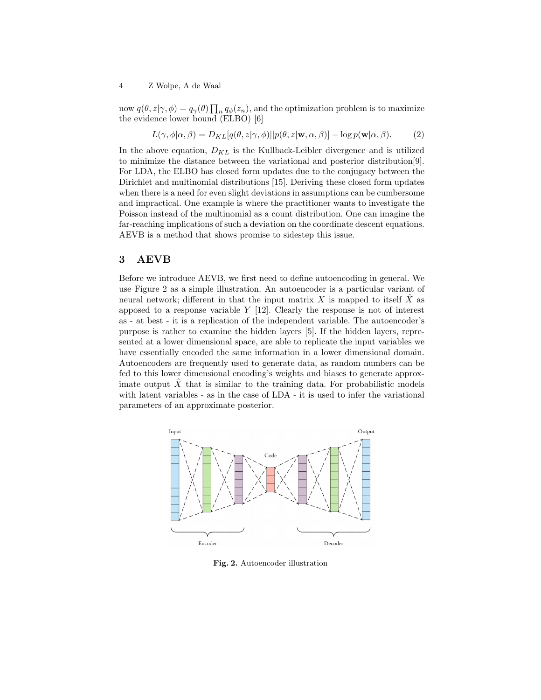now  $q(\theta, z | \gamma, \phi) = q_{\gamma}(\theta) \prod_{n} q_{\phi}(z_n)$ , and the optimization problem is to maximize the evidence lower bound (ELBO) [6]

$$
L(\gamma, \phi | \alpha, \beta) = D_{KL}[q(\theta, z | \gamma, \phi) || p(\theta, z | \mathbf{w}, \alpha, \beta)] - \log p(\mathbf{w} | \alpha, \beta).
$$
 (2)

In the above equation,  $D_{KL}$  is the Kullback-Leibler divergence and is utilized to minimize the distance between the variational and posterior distribution[9]. For LDA, the ELBO has closed form updates due to the conjugacy between the Dirichlet and multinomial distributions [15]. Deriving these closed form updates when there is a need for even slight deviations in assumptions can be cumbersome and impractical. One example is where the practitioner wants to investigate the Poisson instead of the multinomial as a count distribution. One can imagine the far-reaching implications of such a deviation on the coordinate descent equations. AEVB is a method that shows promise to sidestep this issue.

### 3 AEVB

Before we introduce AEVB, we first need to define autoencoding in general. We use Figure 2 as a simple illustration. An autoencoder is a particular variant of neural network; different in that the input matrix X is mapped to itself  $\hat{X}$  as apposed to a response variable  $Y$  [12]. Clearly the response is not of interest as - at best - it is a replication of the independent variable. The autoencoder's purpose is rather to examine the hidden layers [5]. If the hidden layers, represented at a lower dimensional space, are able to replicate the input variables we have essentially encoded the same information in a lower dimensional domain. Autoencoders are frequently used to generate data, as random numbers can be fed to this lower dimensional encoding's weights and biases to generate approximate output  $\hat{X}$  that is similar to the training data. For probabilistic models with latent variables - as in the case of LDA - it is used to infer the variational parameters of an approximate posterior.



Fig. 2. Autoencoder illustration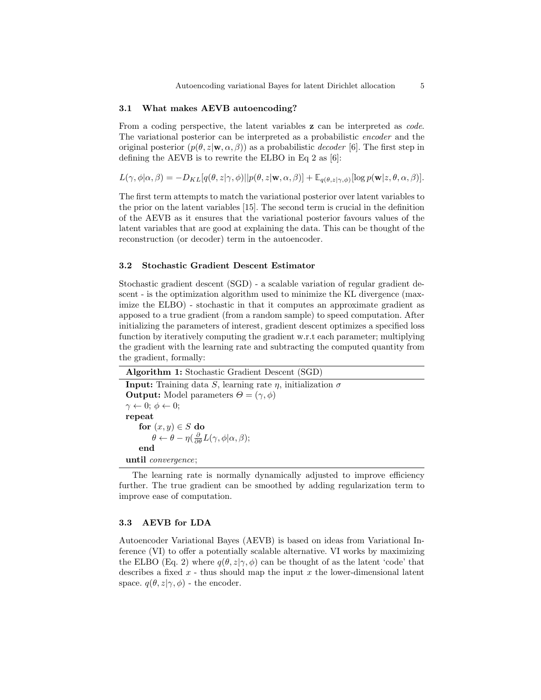### 3.1 What makes AEVB autoencoding?

From a coding perspective, the latent variables **z** can be interpreted as *code*. The variational posterior can be interpreted as a probabilistic encoder and the original posterior  $(p(\theta, z | \mathbf{w}, \alpha, \beta))$  as a probabilistic *decoder* [6]. The first step in defining the AEVB is to rewrite the ELBO in Eq 2 as [6]:

$$
L(\gamma, \phi|\alpha, \beta) = -D_{KL}[q(\theta, z|\gamma, \phi)||p(\theta, z|\mathbf{w}, \alpha, \beta)] + \mathbb{E}_{q(\theta, z|\gamma, \phi)}[\log p(\mathbf{w}|z, \theta, \alpha, \beta)].
$$

The first term attempts to match the variational posterior over latent variables to the prior on the latent variables [15]. The second term is crucial in the definition of the AEVB as it ensures that the variational posterior favours values of the latent variables that are good at explaining the data. This can be thought of the reconstruction (or decoder) term in the autoencoder.

#### 3.2 Stochastic Gradient Descent Estimator

Stochastic gradient descent (SGD) - a scalable variation of regular gradient descent - is the optimization algorithm used to minimize the KL divergence (maximize the ELBO) - stochastic in that it computes an approximate gradient as apposed to a true gradient (from a random sample) to speed computation. After initializing the parameters of interest, gradient descent optimizes a specified loss function by iteratively computing the gradient w.r.t each parameter; multiplying the gradient with the learning rate and subtracting the computed quantity from the gradient, formally:

| $\mathbf{1}_{\mathbf{2}_{\mathbf{2}}}$                                                             |
|----------------------------------------------------------------------------------------------------|
| <b>Input:</b> Training data S, learning rate $\eta$ , initialization $\sigma$                      |
| <b>Output:</b> Model parameters $\Theta = (\gamma, \phi)$                                          |
| $\gamma \leftarrow 0; \phi \leftarrow 0;$                                                          |
| repeat                                                                                             |
| for $(x, y) \in S$ do                                                                              |
| $\theta \leftarrow \theta - \eta(\frac{\partial}{\partial \theta}L(\gamma, \phi   \alpha, \beta);$ |
| end                                                                                                |
| until <i>convergence</i> ;                                                                         |

Algorithm 1: Stochastic Gradient Descent (SGD)

The learning rate is normally dynamically adjusted to improve efficiency further. The true gradient can be smoothed by adding regularization term to improve ease of computation.

### 3.3 AEVB for LDA

Autoencoder Variational Bayes (AEVB) is based on ideas from Variational Inference (VI) to offer a potentially scalable alternative. VI works by maximizing the ELBO (Eq. 2) where  $q(\theta, z|\gamma, \phi)$  can be thought of as the latent 'code' that describes a fixed  $x$  - thus should map the input  $x$  the lower-dimensional latent space.  $q(\theta, z | \gamma, \phi)$  - the encoder.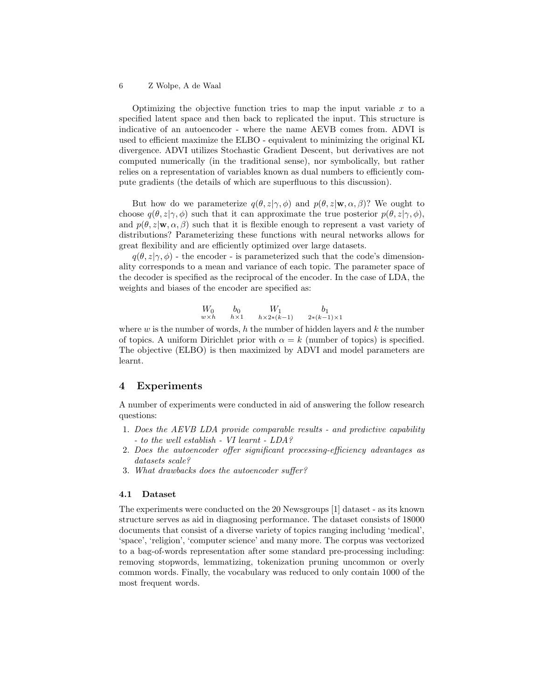Optimizing the objective function tries to map the input variable  $x$  to a specified latent space and then back to replicated the input. This structure is indicative of an autoencoder - where the name AEVB comes from. ADVI is used to efficient maximize the ELBO - equivalent to minimizing the original KL divergence. ADVI utilizes Stochastic Gradient Descent, but derivatives are not computed numerically (in the traditional sense), nor symbolically, but rather relies on a representation of variables known as dual numbers to efficiently compute gradients (the details of which are superfluous to this discussion).

But how do we parameterize  $q(\theta, z | \gamma, \phi)$  and  $p(\theta, z | \mathbf{w}, \alpha, \beta)$ ? We ought to choose  $q(\theta, z|\gamma, \phi)$  such that it can approximate the true posterior  $p(\theta, z|\gamma, \phi)$ , and  $p(\theta, z|\mathbf{w}, \alpha, \beta)$  such that it is flexible enough to represent a vast variety of distributions? Parameterizing these functions with neural networks allows for great flexibility and are efficiently optimized over large datasets.

 $q(\theta, z|\gamma, \phi)$  - the encoder - is parameterized such that the code's dimensionality corresponds to a mean and variance of each topic. The parameter space of the decoder is specified as the reciprocal of the encoder. In the case of LDA, the weights and biases of the encoder are specified as:

$$
\begin{array}{ccc}\nW_0 & b_0 & W_1 & b_1 \\
\hline\nw \times h & h \times 1 & h \times 2*(k-1) & 2*(k-1) \times 1\n\end{array}
$$

where  $w$  is the number of words, h the number of hidden layers and  $k$  the number of topics. A uniform Dirichlet prior with  $\alpha = k$  (number of topics) is specified. The objective (ELBO) is then maximized by ADVI and model parameters are learnt.

### 4 Experiments

A number of experiments were conducted in aid of answering the follow research questions:

- 1. Does the AEVB LDA provide comparable results and predictive capability - to the well establish - VI learnt - LDA?
- 2. Does the autoencoder offer significant processing-efficiency advantages as datasets scale?
- 3. What drawbacks does the autoencoder suffer?

### 4.1 Dataset

The experiments were conducted on the 20 Newsgroups [1] dataset - as its known structure serves as aid in diagnosing performance. The dataset consists of 18000 documents that consist of a diverse variety of topics ranging including 'medical', 'space', 'religion', 'computer science' and many more. The corpus was vectorized to a bag-of-words representation after some standard pre-processing including: removing stopwords, lemmatizing, tokenization pruning uncommon or overly common words. Finally, the vocabulary was reduced to only contain 1000 of the most frequent words.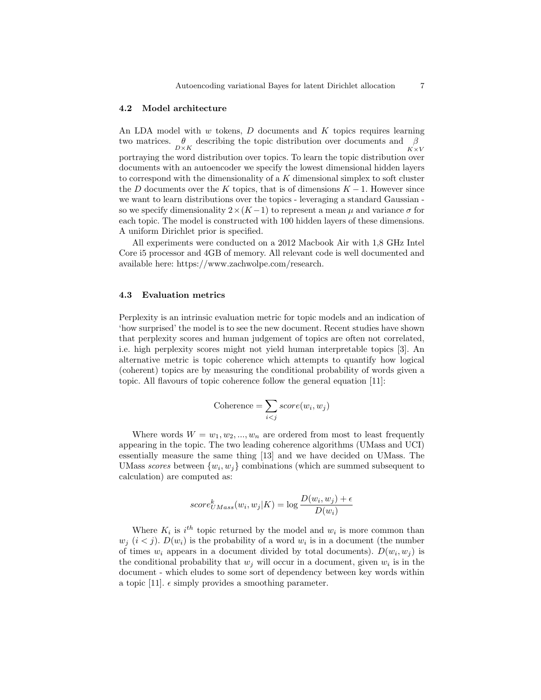### 4.2 Model architecture

An LDA model with  $w$  tokens,  $D$  documents and  $K$  topics requires learning two matrices.  $\theta$  describing the topic distribution over documents and  $\beta$  $K \times V$ portraying the word distribution over topics. To learn the topic distribution over documents with an autoencoder we specify the lowest dimensional hidden layers to correspond with the dimensionality of a  $K$  dimensional simplex to soft cluster the D documents over the K topics, that is of dimensions  $K - 1$ . However since we want to learn distributions over the topics - leveraging a standard Gaussian so we specify dimensionality  $2 \times (K-1)$  to represent a mean  $\mu$  and variance  $\sigma$  for each topic. The model is constructed with 100 hidden layers of these dimensions. A uniform Dirichlet prior is specified.

All experiments were conducted on a 2012 Macbook Air with 1,8 GHz Intel Core i5 processor and 4GB of memory. All relevant code is well documented and available here: https://www.zachwolpe.com/research.

### 4.3 Evaluation metrics

Perplexity is an intrinsic evaluation metric for topic models and an indication of 'how surprised' the model is to see the new document. Recent studies have shown that perplexity scores and human judgement of topics are often not correlated, i.e. high perplexity scores might not yield human interpretable topics [3]. An alternative metric is topic coherence which attempts to quantify how logical (coherent) topics are by measuring the conditional probability of words given a topic. All flavours of topic coherence follow the general equation [11]:

$$
\text{Coherence} = \sum_{i
$$

Where words  $W = w_1, w_2, ..., w_n$  are ordered from most to least frequently appearing in the topic. The two leading coherence algorithms (UMass and UCI) essentially measure the same thing [13] and we have decided on UMass. The UMass scores between  $\{w_i, w_j\}$  combinations (which are summed subsequent to calculation) are computed as:

$$
score_{UMass}^{k}(w_i, w_j|K) = \log \frac{D(w_i, w_j) + \epsilon}{D(w_i)}
$$

Where  $K_i$  is  $i^{th}$  topic returned by the model and  $w_i$  is more common than  $w_j$   $(i < j)$ .  $D(w_i)$  is the probability of a word  $w_i$  is in a document (the number of times  $w_i$  appears in a document divided by total documents).  $D(w_i, w_j)$  is the conditional probability that  $w_j$  will occur in a document, given  $w_i$  is in the document - which eludes to some sort of dependency between key words within a topic [11].  $\epsilon$  simply provides a smoothing parameter.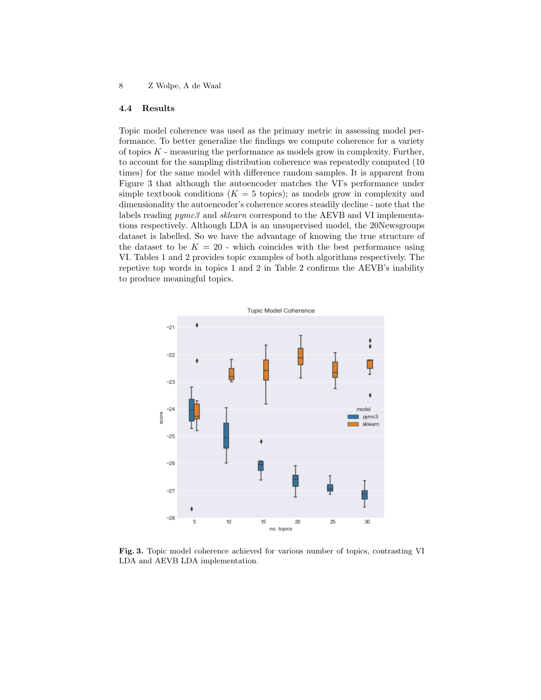### 4.4 Results

Topic model coherence was used as the primary metric in assessing model performance. To better generalize the findings we compute coherence for a variety of topics  $K$  - measuring the performance as models grow in complexity. Further, to account for the sampling distribution coherence was repeatedly computed (10 times) for the same model with difference random samples. It is apparent from Figure 3 that although the autoencoder matches the VI's performance under simple textbook conditions  $(K = 5 \text{ topics})$ ; as models grow in complexity and dimensionality the autoencoder's coherence scores steadily decline - note that the labels reading  $pymc3$  and *sklearn* correspond to the AEVB and VI implementations respectively. Although LDA is an unsupervised model, the 20Newsgroups dataset is labelled. So we have the advantage of knowing the true structure of the dataset to be  $K = 20$  - which coincides with the best performance using VI. Tables 1 and 2 provides topic examples of both algorithms respectively. The repetive top words in topics 1 and 2 in Table 2 confirms the AEVB's inability to produce meaningful topics.



Fig. 3. Topic model coherence achieved for various number of topics, contrasting VI LDA and AEVB LDA implementation.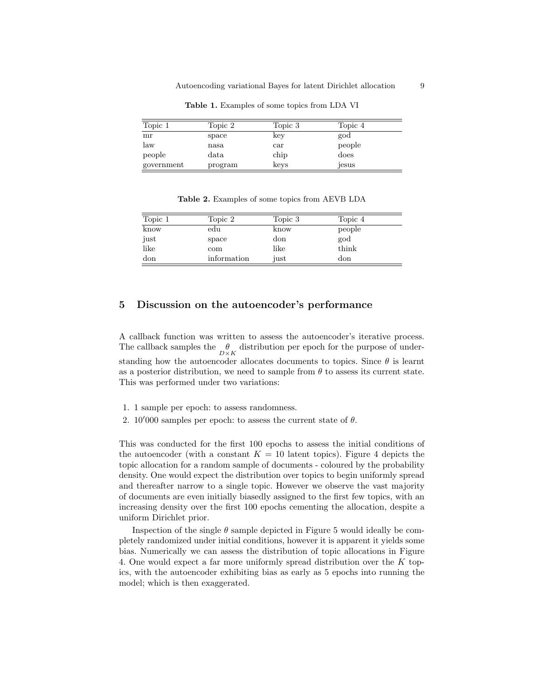| Topic 1    | Topic 2       | Topic 3      | Topic 4 |
|------------|---------------|--------------|---------|
| mr         | space         | key          | god     |
| law        | nasa          | $_{\rm car}$ | people  |
| people     | $_{\rm data}$ | chip         | does    |
| government | program       | keys         | jesus   |

Table 1. Examples of some topics from LDA VI

Table 2. Examples of some topics from AEVB LDA

| Topic 1 | Topic 2     | Topic 3 | Topic 4 |
|---------|-------------|---------|---------|
| know    | edu         | know    | people  |
| just    | space       | don     | god     |
| like    | com         | like    | think   |
| don     | information | just    | don     |

### 5 Discussion on the autoencoder's performance

A callback function was written to assess the autoencoder's iterative process. The callback samples the  $\frac{\theta}{D \times K}$  distribution per epoch for the purpose of understanding how the autoencoder allocates documents to topics. Since  $\theta$  is learnt as a posterior distribution, we need to sample from  $\theta$  to assess its current state. This was performed under two variations:

- 1. 1 sample per epoch: to assess randomness.
- 2. 10'000 samples per epoch: to assess the current state of  $\theta$ .

This was conducted for the first 100 epochs to assess the initial conditions of the autoencoder (with a constant  $K = 10$  latent topics). Figure 4 depicts the topic allocation for a random sample of documents - coloured by the probability density. One would expect the distribution over topics to begin uniformly spread and thereafter narrow to a single topic. However we observe the vast majority of documents are even initially biasedly assigned to the first few topics, with an increasing density over the first 100 epochs cementing the allocation, despite a uniform Dirichlet prior.

Inspection of the single  $\theta$  sample depicted in Figure 5 would ideally be completely randomized under initial conditions, however it is apparent it yields some bias. Numerically we can assess the distribution of topic allocations in Figure 4. One would expect a far more uniformly spread distribution over the K topics, with the autoencoder exhibiting bias as early as 5 epochs into running the model; which is then exaggerated.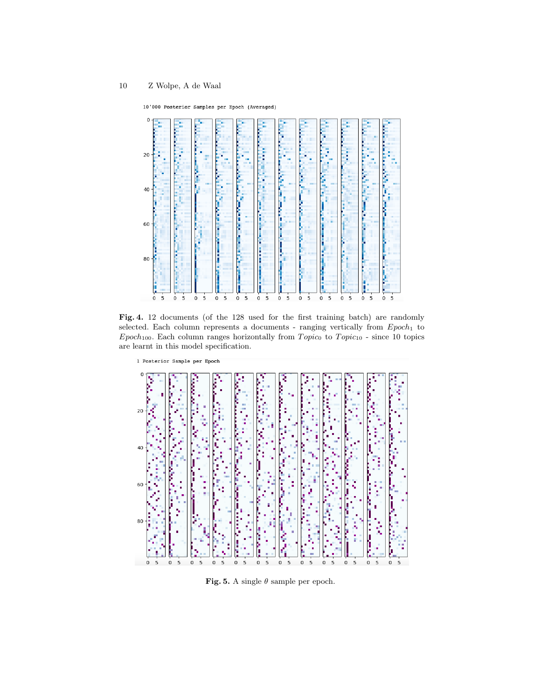10'000 Posterior Samples per Epoch (Averaged)



Fig. 4. 12 documents (of the 128 used for the first training batch) are randomly selected. Each column represents a documents - ranging vertically from  $Epoch_1$  to  $Epoch<sub>100</sub>$ . Each column ranges horizontally from  $Topic<sub>0</sub>$  to  $Topic<sub>10</sub>$  - since 10 topics are learnt in this model specification.



Fig. 5. A single  $\theta$  sample per epoch.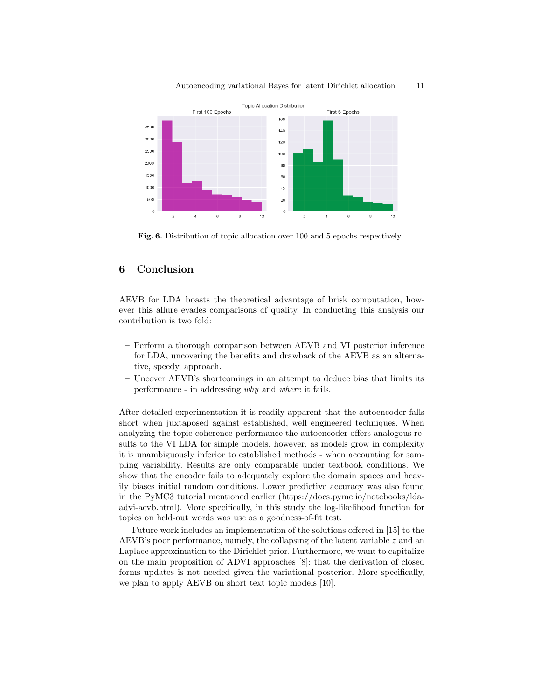

#### Autoencoding variational Bayes for latent Dirichlet allocation 11

Fig. 6. Distribution of topic allocation over 100 and 5 epochs respectively.

## 6 Conclusion

AEVB for LDA boasts the theoretical advantage of brisk computation, however this allure evades comparisons of quality. In conducting this analysis our contribution is two fold:

- Perform a thorough comparison between AEVB and VI posterior inference for LDA, uncovering the benefits and drawback of the AEVB as an alternative, speedy, approach.
- Uncover AEVB's shortcomings in an attempt to deduce bias that limits its performance - in addressing why and where it fails.

After detailed experimentation it is readily apparent that the autoencoder falls short when juxtaposed against established, well engineered techniques. When analyzing the topic coherence performance the autoencoder offers analogous results to the VI LDA for simple models, however, as models grow in complexity it is unambiguously inferior to established methods - when accounting for sampling variability. Results are only comparable under textbook conditions. We show that the encoder fails to adequately explore the domain spaces and heavily biases initial random conditions. Lower predictive accuracy was also found in the PyMC3 tutorial mentioned earlier (https://docs.pymc.io/notebooks/ldaadvi-aevb.html). More specifically, in this study the log-likelihood function for topics on held-out words was use as a goodness-of-fit test.

Future work includes an implementation of the solutions offered in [15] to the AEVB's poor performance, namely, the collapsing of the latent variable  $z$  and an Laplace approximation to the Dirichlet prior. Furthermore, we want to capitalize on the main proposition of ADVI approaches [8]: that the derivation of closed forms updates is not needed given the variational posterior. More specifically, we plan to apply AEVB on short text topic models [10].